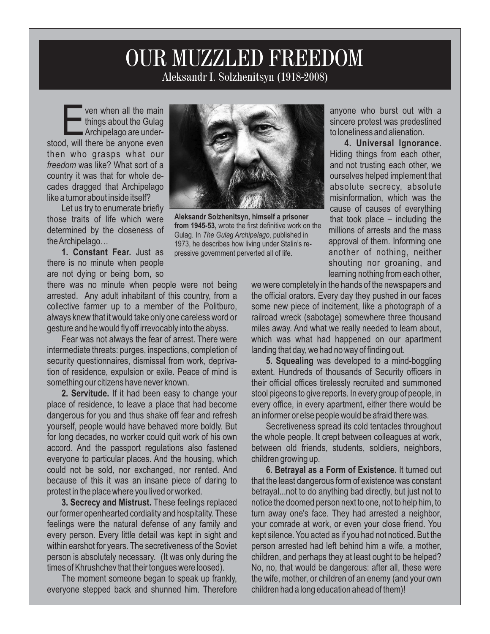## Aleksandr I. Solzhenitsyn (1918-2008) OUR MUZZLED FREEDOM

**Example 12 ven when all the main<br>
things about the Gulag<br>
Archipelago are under-<br>
stood, will there be anyone even** ven when all the main things about the Gulag Archipelago are underthen who grasps what our *freedom* was like? What sort of a country it was that for whole decades dragged that Archipelago like a tumor about inside itself?

Let us try to enumerate briefly those traits of life which were determined by the closeness of the Archipelago…

**1. Constant Fear.** Just as there is no minute when people are not dying or being born, so

there was no minute when people were not being arrested. Any adult inhabitant of this country, from a collective farmer up to a member of the Politburo, always knew that it would take only one careless word or gesture and he would fly off irrevocably into the abyss.

Fear was not always the fear of arrest. There were intermediate threats: purges, inspections, completion of security questionnaires, dismissal from work, deprivation of residence, expulsion or exile. Peace of mind is something our citizens have never known.

**2. Servitude.** If it had been easy to change your place of residence, to leave a place that had become dangerous for you and thus shake off fear and refresh yourself, people would have behaved more boldly. But for long decades, no worker could quit work of his own accord. And the passport regulations also fastened everyone to particular places. And the housing, which could not be sold, nor exchanged, nor rented. And because of this it was an insane piece of daring to protest in the place where you lived or worked.

**3. Secrecy and Mistrust.** These feelings replaced our former openhearted cordiality and hospitality. These feelings were the natural defense of any family and every person. Every little detail was kept in sight and within earshot for years. The secretiveness of the Soviet person is absolutely necessary. (It was only during the times of Khrushchev that their tongues were loosed).

The moment someone began to speak up frankly, everyone stepped back and shunned him. Therefore



1973, he describes how living under Stalin's repressive government perverted all of life.

anyone who burst out with a sincere protest was predestined to loneliness and alienation.

**4. Universal Ignorance.**  Hiding things from each other, and not trusting each other, we ourselves helped implement that absolute secrecy, absolute misinformation, which was the cause of causes of everything that took place – including the millions of arrests and the mass approval of them. Informing one another of nothing, neither shouting nor groaning, and learning nothing from each other,

we were completely in the hands of the newspapers and the official orators. Every day they pushed in our faces some new piece of incitement, like a photograph of a railroad wreck (sabotage) somewhere three thousand miles away. And what we really needed to learn about, which was what had happened on our apartment landing that day, we had no way of finding out.

**5. Squealing** was developed to a mind-boggling extent. Hundreds of thousands of Security officers in their official offices tirelessly recruited and summoned stool pigeons to give reports. In every group of people, in every office, in every apartment, either there would be an informer or else people would be afraid there was.

Secretiveness spread its cold tentacles throughout the whole people. It crept between colleagues at work, between old friends, students, soldiers, neighbors, children growing up.

**6. Betrayal as a Form of Existence.** It turned out that the least dangerous form of existence was constant betrayal...not to do anything bad directly, but just not to notice the doomed person next to one, not to help him, to turn away one's face. They had arrested a neighbor, your comrade at work, or even your close friend. You kept silence. You acted as if you had not noticed. But the person arrested had left behind him a wife, a mother, children, and perhaps they at least ought to be helped? No, no, that would be dangerous: after all, these were the wife, mother, or children of an enemy (and your own children had a long education ahead of them)!